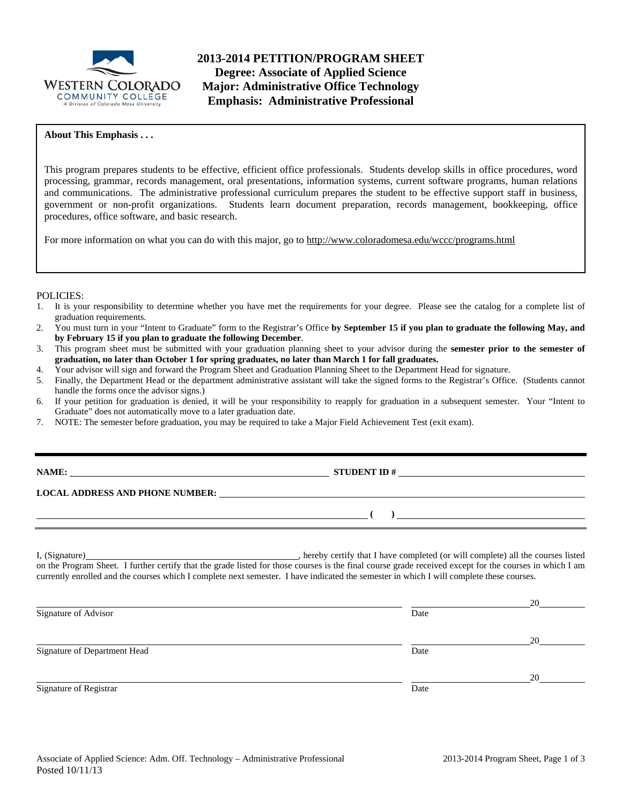

### **About This Emphasis . . .**

This program prepares students to be effective, efficient office professionals. Students develop skills in office procedures, word processing, grammar, records management, oral presentations, information systems, current software programs, human relations and communications. The administrative professional curriculum prepares the student to be effective support staff in business, government or non-profit organizations. Students learn document preparation, records management, bookkeeping, office procedures, office software, and basic research.

For more information on what you can do with this major, go to http://www.coloradomesa.edu/wccc/programs.html

#### POLICIES:

- 1. It is your responsibility to determine whether you have met the requirements for your degree. Please see the catalog for a complete list of graduation requirements.
- 2. You must turn in your "Intent to Graduate" form to the Registrar's Office **by September 15 if you plan to graduate the following May, and by February 15 if you plan to graduate the following December**.
- 3. This program sheet must be submitted with your graduation planning sheet to your advisor during the **semester prior to the semester of graduation, no later than October 1 for spring graduates, no later than March 1 for fall graduates.**
- 4. Your advisor will sign and forward the Program Sheet and Graduation Planning Sheet to the Department Head for signature.
- 5. Finally, the Department Head or the department administrative assistant will take the signed forms to the Registrar's Office. (Students cannot handle the forms once the advisor signs.)
- 6. If your petition for graduation is denied, it will be your responsibility to reapply for graduation in a subsequent semester. Your "Intent to Graduate" does not automatically move to a later graduation date.
- 7. NOTE: The semester before graduation, you may be required to take a Major Field Achievement Test (exit exam).

| <b>NAME:</b> |
|--------------|
|              |

**STUDENT ID #** 

 **( )** 

## **LOCAL ADDRESS AND PHONE NUMBER:**

I, (Signature) , hereby certify that I have completed (or will complete) all the courses listed on the Program Sheet. I further certify that the grade listed for those courses is the final course grade received except for the courses in which I am currently enrolled and the courses which I complete next semester. I have indicated the semester in which I will complete these courses.

|                              |      | 20 |
|------------------------------|------|----|
| Signature of Advisor         | Date |    |
|                              |      | 20 |
| Signature of Department Head | Date |    |
|                              |      | 20 |
| Signature of Registrar       | Date |    |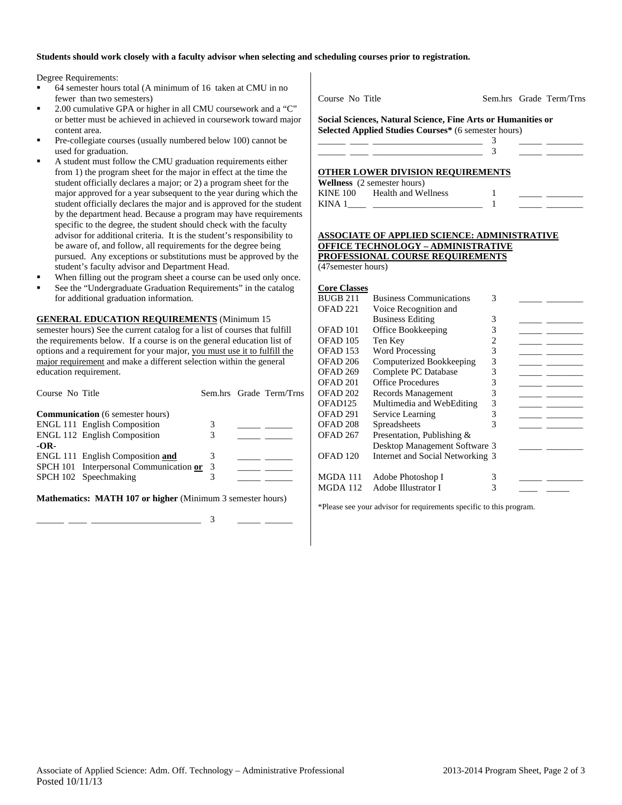### **Students should work closely with a faculty advisor when selecting and scheduling courses prior to registration.**

Degree Requirements:

- 64 semester hours total (A minimum of 16 taken at CMU in no fewer than two semesters)
- 2.00 cumulative GPA or higher in all CMU coursework and a "C" or better must be achieved in achieved in coursework toward major content area.
- Pre-collegiate courses (usually numbered below 100) cannot be used for graduation.
- A student must follow the CMU graduation requirements either from 1) the program sheet for the major in effect at the time the student officially declares a major; or 2) a program sheet for the major approved for a year subsequent to the year during which the student officially declares the major and is approved for the student by the department head. Because a program may have requirements specific to the degree, the student should check with the faculty advisor for additional criteria. It is the student's responsibility to be aware of, and follow, all requirements for the degree being pursued. Any exceptions or substitutions must be approved by the student's faculty advisor and Department Head.
- When filling out the program sheet a course can be used only once.
- See the "Undergraduate Graduation Requirements" in the catalog for additional graduation information.

**GENERAL EDUCATION REQUIREMENTS** (Minimum 15 semester hours) See the current catalog for a list of courses that fulfill the requirements below. If a course is on the general education list of options and a requirement for your major, you must use it to fulfill the major requirement and make a different selection within the general education requirement.

| Course No Title |                                           |   | Sem.hrs Grade Term/Trns |
|-----------------|-------------------------------------------|---|-------------------------|
|                 | <b>Communication</b> (6 semester hours)   |   |                         |
|                 | <b>ENGL 111 English Composition</b>       | 3 |                         |
|                 | <b>ENGL 112 English Composition</b>       | 3 |                         |
| $-OR-$          |                                           |   |                         |
|                 | ENGL 111 English Composition and          |   |                         |
|                 | SPCH 101 Interpersonal Communication or 3 |   |                         |
|                 | SPCH 102 Speechmaking                     | 3 |                         |
|                 |                                           |   |                         |

**Mathematics: MATH 107 or higher** (Minimum 3 semester hours)

\_\_\_\_\_\_ \_\_\_\_ \_\_\_\_\_\_\_\_\_\_\_\_\_\_\_\_\_\_\_\_\_\_\_\_ 3 \_\_\_\_\_ \_\_\_\_\_\_

Course No Title Sem.hrs Grade Term/Trns

**Social Sciences, Natural Science, Fine Arts or Humanities or Selected Applied Studies Courses\*** (6 semester hours)

| OTHER LOWER DIVISION REOUIREMENTS |  |  |
|-----------------------------------|--|--|

|                 | <b>Wellness</b> (2 semester hours) |  |  |
|-----------------|------------------------------------|--|--|
| <b>KINE 100</b> | Health and Wellness                |  |  |
| KINA 1          |                                    |  |  |

#### **ASSOCIATE OF APPLIED SCIENCE: ADMINISTRATIVE OFFICE TECHNOLOGY – ADMINISTRATIVE PROFESSIONAL COURSE REQUIREMENTS** (47semester hours)

### **Core Classes**

| <b>Business Communications</b> | 3                 |                                                                   |  |
|--------------------------------|-------------------|-------------------------------------------------------------------|--|
| Voice Recognition and          |                   |                                                                   |  |
| <b>Business Editing</b>        | 3                 |                                                                   |  |
| Office Bookkeeping             | 3                 |                                                                   |  |
| Ten Key                        | 2                 |                                                                   |  |
| <b>Word Processing</b>         | 3                 |                                                                   |  |
| Computerized Bookkeeping       | 3                 |                                                                   |  |
| Complete PC Database           | 3                 |                                                                   |  |
| <b>Office Procedures</b>       | 3                 |                                                                   |  |
| Records Management             | 3                 |                                                                   |  |
| Multimedia and WebEditing      | 3                 |                                                                   |  |
| Service Learning               | 3                 |                                                                   |  |
| Spreadsheets                   |                   |                                                                   |  |
| Presentation, Publishing &     |                   |                                                                   |  |
|                                |                   |                                                                   |  |
|                                |                   |                                                                   |  |
|                                | 3                 |                                                                   |  |
| Adobe Illustrator I            | 3                 |                                                                   |  |
|                                | Adobe Photoshop I | Desktop Management Software 3<br>Internet and Social Networking 3 |  |

\*Please see your advisor for requirements specific to this program.